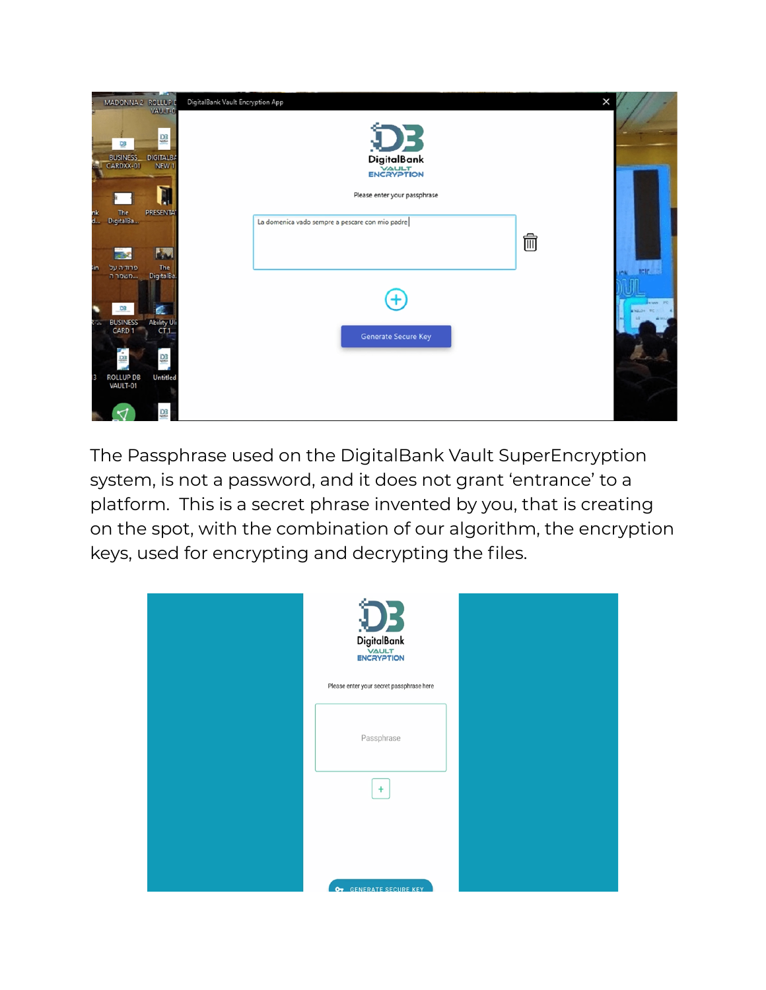

The Passphrase used on the DigitalBank Vault SuperEncryption system, is not a password, and it does not grant 'entrance' to a platform. This is a secret phrase invented by you, that is creating on the spot, with the combination of our algorithm, the encryption keys, used for encrypting and decrypting the files.

| DigitalBank<br>ENCRYPTION                |
|------------------------------------------|
| Please enter your secret passphrase here |
| Passphrase<br>$\ddot{}$                  |
|                                          |
| OT GENERATE SECURE KEY                   |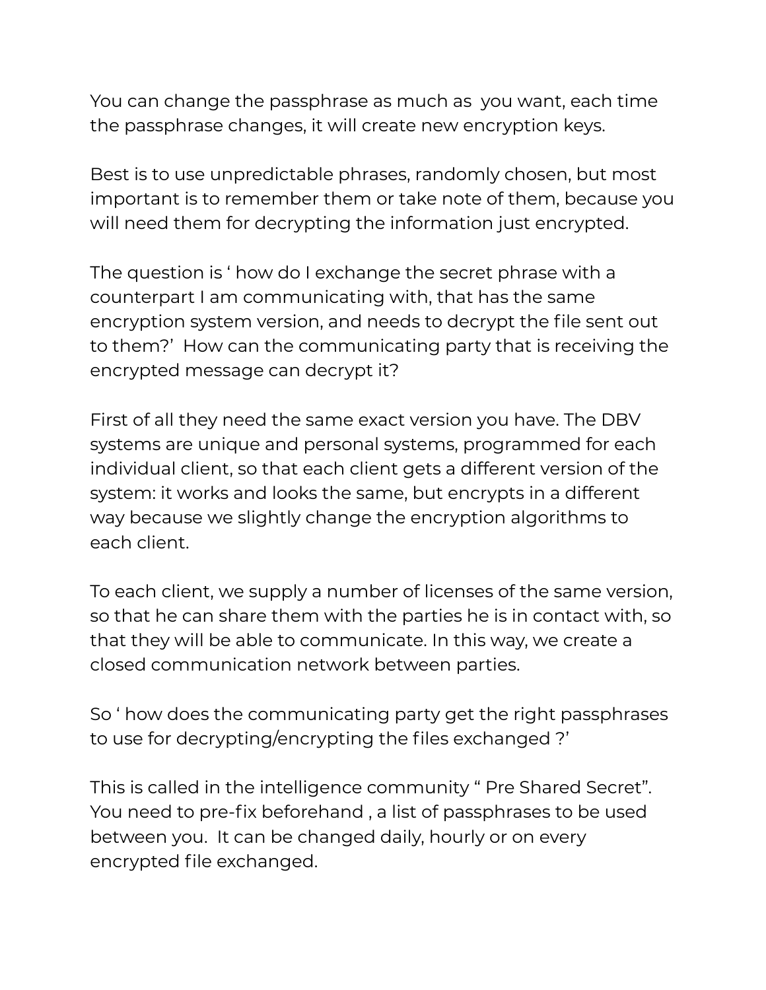You can change the passphrase as much as you want, each time the passphrase changes, it will create new encryption keys.

Best is to use unpredictable phrases, randomly chosen, but most important is to remember them or take note of them, because you will need them for decrypting the information just encrypted.

The question is ' how do I exchange the secret phrase with a counterpart I am communicating with, that has the same encryption system version, and needs to decrypt the file sent out to them?' How can the communicating party that is receiving the encrypted message can decrypt it?

First of all they need the same exact version you have. The DBV systems are unique and personal systems, programmed for each individual client, so that each client gets a different version of the system: it works and looks the same, but encrypts in a different way because we slightly change the encryption algorithms to each client.

To each client, we supply a number of licenses of the same version, so that he can share them with the parties he is in contact with, so that they will be able to communicate. In this way, we create a closed communication network between parties.

So ' how does the communicating party get the right passphrases to use for decrypting/encrypting the files exchanged ?'

This is called in the intelligence community " Pre Shared Secret". You need to pre-fix beforehand , a list of passphrases to be used between you. It can be changed daily, hourly or on every encrypted file exchanged.